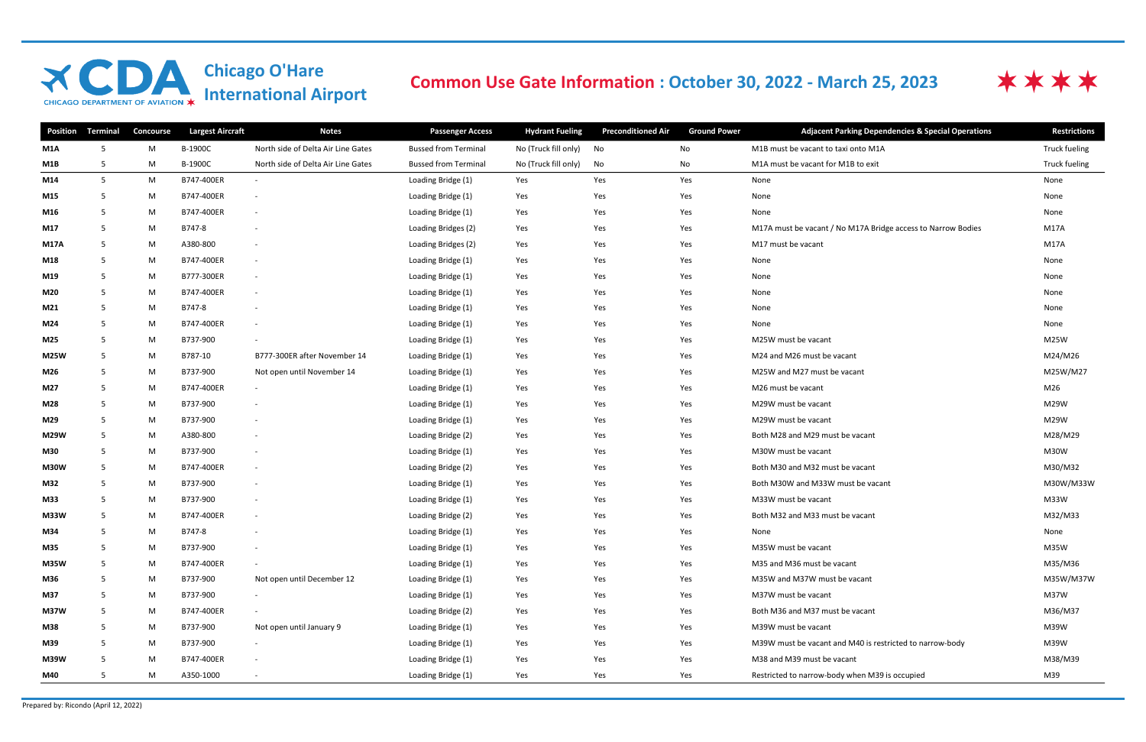## **Chicago O'Hare<br>International Airport XCDA** CHICAGO DEPARTMENT OF AVIATION X

## Common Use Gate Information : October 30, 2022 - March 25, 2023

| <b>Position</b> | <b>Terminal</b> | <b>Concourse</b> | <b>Largest Aircraft</b> | <b>Notes</b>                       | <b>Passenger Access</b>     | <b>Hydrant Fueling</b> | <b>Preconditioned Air</b> | <b>Ground Power</b> | <b>Adjacent Parking Dependencies &amp; Special Operations</b> | <b>Restrictions</b> |
|-----------------|-----------------|------------------|-------------------------|------------------------------------|-----------------------------|------------------------|---------------------------|---------------------|---------------------------------------------------------------|---------------------|
| M1A             | 5               | M                | B-1900C                 | North side of Delta Air Line Gates | <b>Bussed from Terminal</b> | No (Truck fill only)   | No                        | No                  | M1B must be vacant to taxi onto M1A                           | Truck fueling       |
| M1B             | -5              | M                | B-1900C                 | North side of Delta Air Line Gates | <b>Bussed from Terminal</b> | No (Truck fill only)   | No                        | No                  | M1A must be vacant for M1B to exit                            | Truck fueling       |
| M14             | 5               | M                | B747-400ER              | $\sim$                             | Loading Bridge (1)          | Yes                    | Yes                       | Yes                 | None                                                          | None                |
| M15             | -5              | M                | B747-400ER              | $\sim$                             | Loading Bridge (1)          | Yes                    | Yes                       | Yes                 | None                                                          | None                |
| M16             | 5               | M                | B747-400ER              | $\sim$                             | Loading Bridge (1)          | Yes                    | Yes                       | Yes                 | None                                                          | None                |
| M17             | 5               | M                | B747-8                  | $\sim$                             | Loading Bridges (2)         | Yes                    | Yes                       | Yes                 | M17A must be vacant / No M17A Bridge access to Narrow Bodies  | <b>M17A</b>         |
| <b>M17A</b>     | -5              | M                | A380-800                | $\sim$                             | Loading Bridges (2)         | Yes                    | Yes                       | Yes                 | M17 must be vacant                                            | M17A                |
| M18             | 5               | M                | B747-400ER              | $\sim$                             | Loading Bridge (1)          | Yes                    | Yes                       | Yes                 | None                                                          | None                |
| M19             | -5              | M                | B777-300ER              | $\sim$                             | Loading Bridge (1)          | Yes                    | Yes                       | Yes                 | None                                                          | None                |
| M20             | -5              | M                | B747-400ER              | $\sim$                             | Loading Bridge (1)          | Yes                    | Yes                       | Yes                 | None                                                          | None                |
| M21             | -5              | M                | B747-8                  | $\sim$                             | Loading Bridge (1)          | Yes                    | Yes                       | Yes                 | None                                                          | None                |
| M24             | -5              | M                | B747-400ER              | $\sim$                             | Loading Bridge (1)          | Yes                    | Yes                       | Yes                 | None                                                          | None                |
| M25             | -5              | M                | B737-900                | $\sim$                             | Loading Bridge (1)          | Yes                    | Yes                       | Yes                 | M25W must be vacant                                           | M25W                |
| <b>M25W</b>     | -5              | M                | B787-10                 | B777-300ER after November 14       | Loading Bridge (1)          | Yes                    | Yes                       | Yes                 | M24 and M26 must be vacant                                    | M24/M26             |
| M26             | -5              | M                | B737-900                | Not open until November 14         | Loading Bridge (1)          | Yes                    | Yes                       | Yes                 | M25W and M27 must be vacant                                   | M25W/M27            |
| M27             | -5              | M                | B747-400ER              | $\sim$                             | Loading Bridge (1)          | Yes                    | Yes                       | Yes                 | M26 must be vacant                                            | M26                 |
| M28             | 5               | M                | B737-900                | $\sim$                             | Loading Bridge (1)          | Yes                    | Yes                       | Yes                 | M29W must be vacant                                           | M29W                |
| M29             | 5               | M                | B737-900                | $\sim$                             | Loading Bridge (1)          | Yes                    | Yes                       | Yes                 | M29W must be vacant                                           | M29W                |
| <b>M29W</b>     | -5              | M                | A380-800                | $\sim$                             | Loading Bridge (2)          | Yes                    | Yes                       | Yes                 | Both M28 and M29 must be vacant                               | M28/M29             |
| M30             | -5              | M                | B737-900                | $\sim$                             | Loading Bridge (1)          | Yes                    | Yes                       | Yes                 | M30W must be vacant                                           | M30W                |
| <b>M30W</b>     | -5              | M                | B747-400ER              | $\sim$                             | Loading Bridge (2)          | Yes                    | Yes                       | Yes                 | Both M30 and M32 must be vacant                               | M30/M32             |
| M32             | -5              | M                | B737-900                | $\sim$                             | Loading Bridge (1)          | Yes                    | Yes                       | Yes                 | Both M30W and M33W must be vacant                             | M30W/M33W           |
| M33             | 5               | M                | B737-900                | $\sim$                             | Loading Bridge (1)          | Yes                    | Yes                       | Yes                 | M33W must be vacant                                           | M33W                |
| M33W            | -5              | M                | B747-400ER              | $\sim$                             | Loading Bridge (2)          | Yes                    | Yes                       | Yes                 | Both M32 and M33 must be vacant                               | M32/M33             |
| M34             | -5              | M                | B747-8                  | $\sim$                             | Loading Bridge (1)          | Yes                    | Yes                       | Yes                 | None                                                          | None                |
| M35             | -5              | M                | B737-900                | $\sim$                             | Loading Bridge (1)          | Yes                    | Yes                       | Yes                 | M35W must be vacant                                           | M35W                |
| <b>M35W</b>     | -5              | M                | B747-400ER              | $\sim$                             | Loading Bridge (1)          | Yes                    | Yes                       | Yes                 | M35 and M36 must be vacant                                    | M35/M36             |
| M36             | 5               | M                | B737-900                | Not open until December 12         | Loading Bridge (1)          | Yes                    | Yes                       | Yes                 | M35W and M37W must be vacant                                  | M35W/M37W           |
| M37             | -5              | M                | B737-900                | $\sim$                             | Loading Bridge (1)          | Yes                    | Yes                       | Yes                 | M37W must be vacant                                           | M37W                |
| <b>M37W</b>     | 5               | M                | B747-400ER              | $\sim$                             | Loading Bridge (2)          | Yes                    | Yes                       | Yes                 | Both M36 and M37 must be vacant                               | M36/M37             |
| M38             | 5               | M                | B737-900                | Not open until January 9           | Loading Bridge (1)          | Yes                    | Yes                       | Yes                 | M39W must be vacant                                           | M39W                |
| M39             | 5               | M                | B737-900                | $\sim$                             | Loading Bridge (1)          | Yes                    | Yes                       | Yes                 | M39W must be vacant and M40 is restricted to narrow-body      | M39W                |
| <b>M39W</b>     | 5               | M                | B747-400ER              |                                    | Loading Bridge (1)          | Yes                    | Yes                       | Yes                 | M38 and M39 must be vacant                                    | M38/M39             |
| M40             | -5              | M                | A350-1000               |                                    | Loading Bridge (1)          | Yes                    | Yes                       | Yes                 | Restricted to narrow-body when M39 is occupied                | M39                 |